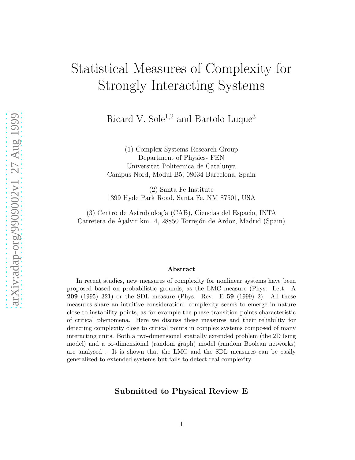# Statistical Measures of Complexity for Strongly Interacting Systems

Ricard V. Sole<sup>1,2</sup> and Bartolo Luque<sup>3</sup>

(1) Complex Systems Research Group Department of Physics- FEN Universitat Politecnica de Catalunya Campus Nord, Modul B5, 08034 Barcelona, Spain

(2) Santa Fe Institute 1399 Hyde Park Road, Santa Fe, NM 87501, USA

(3) Centro de Astrobiología (CAB), Ciencias del Espacio, INTA Carretera de Ajalvir km. 4, 28850 Torrejón de Ardoz, Madrid (Spain)

#### Abstract

In recent studies, new measures of complexity for nonlinear systems have been proposed based on probabilistic grounds, as the LMC measure (Phys. Lett. A 209 (1995) 321) or the SDL measure (Phys. Rev. E 59 (1999) 2). All these measures share an intuitive consideration: complexity seems to emerge in nature close to instability points, as for example the phase transition points characteristic of critical phenomena. Here we discuss these measures and their reliability for detecting complexity close to critical points in complex systems composed of many interacting units. Both a two-dimensional spatially extended problem (the 2D Ising model) and a  $\infty$ -dimensional (random graph) model (random Boolean networks) are analysed . It is shown that the LMC and the SDL measures can be easily generalized to extended systems but fails to detect real complexity.

### Submitted to Physical Review E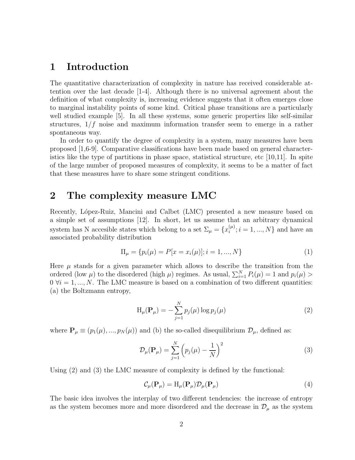## 1 Introduction

The quantitative characterization of complexity in nature has received considerable attention over the last decade [1-4]. Although there is no universal agreement about the definition of what complexity is, increasing evidence suggests that it often emerges close to marginal instability points of some kind. Critical phase transitions are a particularly well studied example [5]. In all these systems, some generic properties like self-similar structures,  $1/f$  noise and maximum information transfer seem to emerge in a rather spontaneous way.

In order to quantify the degree of complexity in a system, many measures have been proposed [1,6-9]. Comparative classifications have been made based on general characteristics like the type of partitions in phase space, statistical structure, etc  $[10,11]$ . In spite of the large number of proposed measures of complexity, it seems to be a matter of fact that these measures have to share some stringent conditions.

## 2 The complexity measure LMC

Recently, López-Ruiz, Mancini and Calbet (LMC) presented a new measure based on a simple set of assumptions [12]. In short, let us assume that an arbitrary dynamical system has N accesible states which belong to a set  $\Sigma_{\mu} = \{x_i^{(\mu)}\}$  ${}_{i}^{\mu\nu}; i = 1, ..., N$ } and have an associated probability distribution

$$
\Pi_{\mu} = \{ p_i(\mu) = P[x = x_i(\mu)]; i = 1, ..., N \}
$$
\n(1)

Here  $\mu$  stands for a given parameter which allows to describe the transition from the ordered (low  $\mu$ ) to the disordered (high  $\mu$ ) regimes. As usual,  $\sum_{i=1}^{N} P_i(\mu) = 1$  and  $p_i(\mu) >$  $0 \forall i = 1, ..., N$ . The LMC measure is based on a combination of two different quantities: (a) the Boltzmann entropy,

$$
H_{\mu}(\mathbf{P}_{\mu}) = -\sum_{j=1}^{N} p_j(\mu) \log p_j(\mu)
$$
\n(2)

where  $\mathbf{P}_{\mu} \equiv (p_1(\mu), ..., p_N(\mu))$  and (b) the so-called disequilibrium  $\mathcal{D}_{\mu}$ , defined as:

$$
\mathcal{D}_{\mu}(\mathbf{P}_{\mu}) = \sum_{j=1}^{N} \left( p_j(\mu) - \frac{1}{N} \right)^2 \tag{3}
$$

Using (2) and (3) the LMC measure of complexity is defined by the functional:

$$
\mathcal{C}_{\mu}(\mathbf{P}_{\mu}) = \mathbf{H}_{\mu}(\mathbf{P}_{\mu}) \mathcal{D}_{\mu}(\mathbf{P}_{\mu})
$$
\n(4)

The basic idea involves the interplay of two different tendencies: the increase of entropy as the system becomes more and more disordered and the decrease in  $\mathcal{D}_{\mu}$  as the system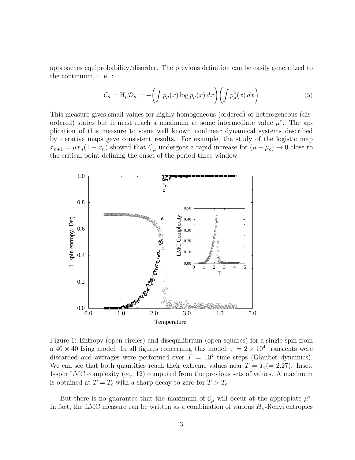approaches equiprobability/disorder. The previous definition can be easily generalized to the continuum, i. e. :

$$
\mathcal{C}_{\mu} = \mathcal{H}_{\mu} \mathcal{D}_{\mu} = -\left(\int p_{\mu}(x) \log p_{\mu}(x) dx\right) \left(\int p_{\mu}^{2}(x) dx\right) \tag{5}
$$

This measure gives small values for highly homogeneous (ordered) or heterogeneous (disordered) states but it must reach a maximum at some intermediate value  $\mu^*$ . The application of this measure to some well known nonlinear dynamical systems described by iterative maps gave consistent results. For example, the study of the logistic map  $x_{n+1} = \mu x_n (1 - x_n)$  showed that  $C_\mu$  undergoes a rapid increase for  $(\mu - \mu_c) \to 0$  close to the critical point defining the onset of the period-three window.



Figure 1: Entropy (open circles) and disequilibrium (open squares) for a single spin from a  $40 \times 40$  Ising model. In all figures concerning this model,  $\tau = 2 \times 10^4$  transients were discarded and averages were performed over  $T = 10<sup>4</sup>$  time steps (Glauber dynamics). We can see that both quantities reach their extreme values near  $T = T_c (= 2.27)$ . Inset: 1-spin LMC complexity (eq. 12) computed from the previous sets of values. A maximum is obtained at  $T = T_c$  with a sharp decay to zero for  $T > T_c$ 

But there is no guarantee that the maximum of  $\mathcal{C}_{\mu}$  will occur at the appropiate  $\mu^*$ . In fact, the LMC measure can be written as a combination of various  $H_\beta$ -Renyi entropies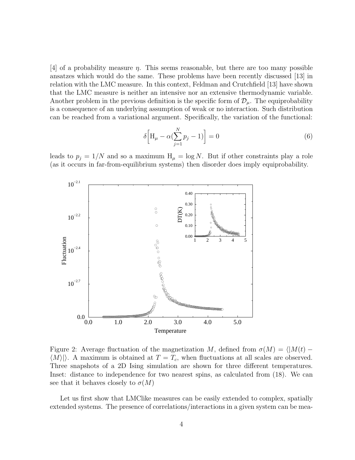[4] of a probability measure  $\eta$ . This seems reasonable, but there are too many possible ansatzes which would do the same. These problems have been recently discussed [13] in relation with the LMC measure. In this context, Feldman and Crutchfield [13] have shown that the LMC measure is neither an intensive nor an extensive thermodynamic variable. Another problem in the previous definition is the specific form of  $\mathcal{D}_{\mu}$ . The equiprobability is a consequence of an underlying assumption of weak or no interaction. Such distribution can be reached from a variational argument. Specifically, the variation of the functional:

$$
\delta \left[ H_{\mu} - \alpha \left( \sum_{j=1}^{N} p_j - 1 \right) \right] = 0 \tag{6}
$$

leads to  $p_i = 1/N$  and so a maximum  $H_\mu = \log N$ . But if other constraints play a role (as it occurs in far-from-equilibrium systems) then disorder does imply equiprobability.



Figure 2: Average fluctuation of the magnetization M, defined from  $\sigma(M) = \langle M(t) - \sigma(M) \rangle$  $\langle M \rangle$ . A maximum is obtained at  $T = T_c$ , when fluctuations at all scales are observed. Three snapshots of a 2D Ising simulation are shown for three different temperatures. Inset: distance to independence for two nearest spins, as calculated from (18). We can see that it behaves closely to  $\sigma(M)$ 

Let us first show that LMClike measures can be easily extended to complex, spatially extended systems. The presence of correlations/interactions in a given system can be mea-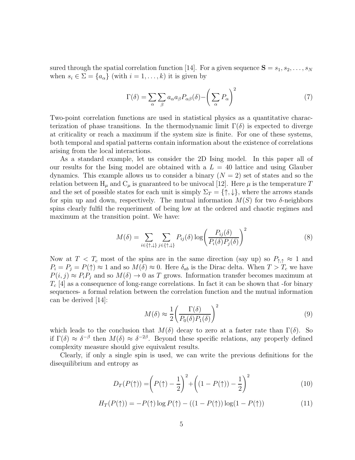sured through the spatial correlation function [14]. For a given sequence  $S = s_1, s_2, \ldots, s_N$ when  $s_i \in \Sigma = \{a_\alpha\}$  (with  $i = 1, \ldots, k$ ) it is given by

$$
\Gamma(\delta) = \sum_{\alpha} \sum_{\beta} a_{\alpha} a_{\beta} P_{\alpha\beta}(\delta) - \left(\sum_{\alpha} P_{\alpha}\right)^2 \tag{7}
$$

Two-point correlation functions are used in statistical physics as a quantitative characterization of phase transitions. In the thermodynamic limit  $\Gamma(\delta)$  is expected to diverge at criticality or reach a maximum if the system size is finite. For one of these systems, both temporal and spatial patterns contain information about the existence of correlations arising from the local interactions.

As a standard example, let us consider the 2D Ising model. In this paper all of our results for the Ising model are obtained with a  $L = 40$  lattice and using Glauber dynamics. This example allows us to consider a binary  $(N = 2)$  set of states and so the relation between  $H_{\mu}$  and  $C_{\mu}$  is guaranteed to be univocal [12]. Here  $\mu$  is the temperature T and the set of possible states for each unit is simply  $\Sigma_T = \{\uparrow, \downarrow\}$ , where the arrows stands for spin up and down, respectively. The mutual information  $M(S)$  for two  $\delta$ -neighbors spins clearly fulfil the requeriment of being low at the ordered and chaotic regimes and maximum at the transition point. We have:

$$
M(\delta) = \sum_{i \in \{\uparrow, \downarrow\}} \sum_{j \in \{\uparrow, \downarrow\}} P_{ij}(\delta) \log \left( \frac{P_{ij}(\delta)}{P_i(\delta) P_j(\delta)} \right)^2 \tag{8}
$$

Now at  $T < T_c$  most of the spins are in the same direction (say up) so  $P_{\uparrow,\uparrow} \approx 1$  and  $P_i = P_j = P(\uparrow) \approx 1$  and so  $M(\delta) \approx 0$ . Here  $\delta_{ab}$  is the Dirac delta. When  $T > T_c$  we have  $P(i, j) \approx P_i P_j$  and so  $M(\delta) \to 0$  as T grows. Information transfer becomes maximum at  $T_c$  [4] as a consequence of long-range correlations. In fact it can be shown that -for binary sequences- a formal relation between the correlation function and the mutual information can be derived [14]:

$$
M(\delta) \approx \frac{1}{2} \left( \frac{\Gamma(\delta)}{P_0(\delta) P_1(\delta)} \right)^2 \tag{9}
$$

which leads to the conclusion that  $M(\delta)$  decay to zero at a faster rate than  $\Gamma(\delta)$ . So if  $\Gamma(\delta) \approx \delta^{-\beta}$  then  $M(\delta) \approx \delta^{-2\beta}$ . Beyond these specific relations, any properly defined complexity measure should give equivalent results.

Clearly, if only a single spin is used, we can write the previous definitions for the disequilibrium and entropy as

$$
D_T(P(\uparrow)) = \left(P(\uparrow) - \frac{1}{2}\right)^2 + \left((1 - P(\uparrow)) - \frac{1}{2}\right)^2\tag{10}
$$

$$
H_T(P(\uparrow)) = -P(\uparrow) \log P(\uparrow) - ((1 - P(\uparrow)) \log(1 - P(\uparrow)) \tag{11}
$$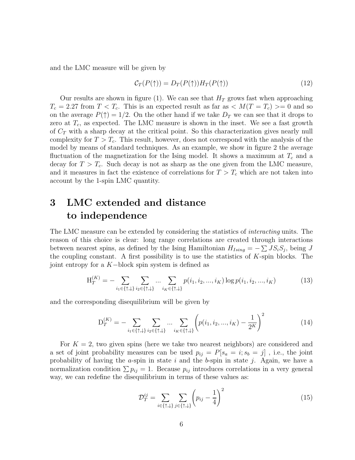and the LMC measure will be given by

$$
C_T(P(\uparrow)) = D_T(P(\uparrow))H_T(P(\uparrow))\tag{12}
$$

Our results are shown in figure (1). We can see that  $H_T$  grows fast when approaching  $T_c = 2.27$  from  $T < T_c$ . This is an expected result as far as  $\langle M(T = T_c) \rangle = 0$  and so on the average  $P(\uparrow)=1/2$ . On the other hand if we take  $D_T$  we can see that it drops to zero at  $T_c$ , as expected. The LMC measure is shown in the inset. We see a fast growth of  $C_T$  with a sharp decay at the critical point. So this characterization gives nearly null complexity for  $T > T_c$ . This result, however, does not correspond with the analysis of the model by means of standard techniques. As an example, we show in figure 2 the average fluctuation of the magnetization for the Ising model. It shows a maximum at  $T_c$  and a decay for  $T > T_c$ . Such decay is not as sharp as the one given from the LMC measure, and it measures in fact the existence of correlations for  $T > T_c$  which are not taken into account by the 1-spin LMC quantity.

# 3 LMC extended and distance to independence

The LMC measure can be extended by considering the statistics of *interacting* units. The reason of this choice is clear: long range correlations are created through interactions between nearest spins, as defined by the Ising Hamiltonian  $H_{Ising} = -\sum J S_i S_j$ , being J the coupling constant. A first possibility is to use the statistics of  $K$ -spin blocks. The joint entropy for a K−block spin system is defined as

$$
H_T^{(K)} = -\sum_{i_1 \in \{\uparrow, \downarrow\}} \sum_{i_2 \in \{\uparrow, \downarrow\}} \dots \sum_{i_K \in \{\uparrow, \downarrow\}} p(i_1, i_2, \dots, i_K) \log p(i_1, i_2, \dots, i_K)
$$
(13)

and the corresponding disequilibrium will be given by

$$
D_T^{(K)} = -\sum_{i_1 \in \{\uparrow, \downarrow\}} \sum_{i_2 \in \{\uparrow, \downarrow\}} \dots \sum_{i_K \in \{\uparrow, \downarrow\}} \left( p(i_1, i_2, ..., i_K) - \frac{1}{2^K} \right)^2 \tag{14}
$$

For  $K = 2$ , two given spins (here we take two nearest neighbors) are considered and a set of joint probability measures can be used  $p_{ij} = P[s_a = i; s_b = j]$ , i.e., the joint probability of having the  $a$ -spin in state  $i$  and the  $b$ -spin in state  $j$ . Again, we have a normalization condition  $\sum p_{ij} = 1$ . Because  $p_{ij}$  introduces correlations in a very general way, we can redefine the disequilibrium in terms of these values as:

$$
\mathcal{D}_T^{ij} = \sum_{i \in \{\uparrow, \downarrow\}} \sum_{j \in \{\uparrow, \downarrow\}} \left( p_{ij} - \frac{1}{4} \right)^2 \tag{15}
$$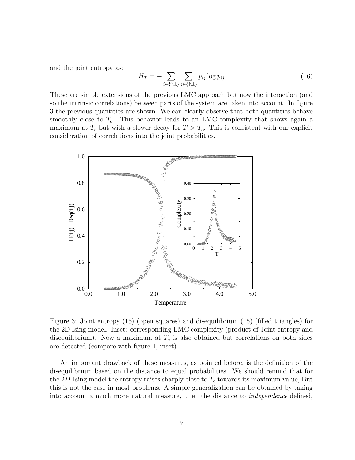and the joint entropy as:

$$
H_T = -\sum_{i \in \{\uparrow, \downarrow\}} \sum_{j \in \{\uparrow, \downarrow\}} p_{ij} \log p_{ij} \tag{16}
$$

These are simple extensions of the previous LMC approach but now the interaction (and so the intrinsic correlations) between parts of the system are taken into account. In figure 3 the previous quantities are shown. We can clearly observe that both quantities behave smoothly close to  $T_c$ . This behavior leads to an LMC-complexity that shows again a maximum at  $T_c$  but with a slower decay for  $T > T_c$ . This is consistent with our explicit consideration of correlations into the joint probabilities.



Figure 3: Joint entropy (16) (open squares) and disequilibrium (15) (filled triangles) for the 2D Ising model. Inset: corresponding LMC complexity (product of Joint entropy and disequilibrium). Now a maximum at  $T_c$  is also obtained but correlations on both sides are detected (compare with figure 1, inset)

An important drawback of these measures, as pointed before, is the definition of the disequilibrium based on the distance to equal probabilities. We should remind that for the 2D-Ising model the entropy raises sharply close to  $T_c$  towards its maximum value, But this is not the case in most problems. A simple generalization can be obtained by taking into account a much more natural measure, i. e. the distance to independence defined,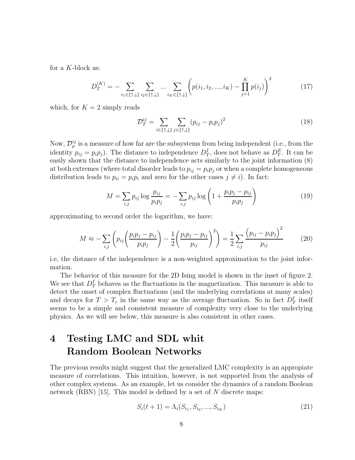for a K-block as:

$$
D_T^{(K)} = -\sum_{i_1 \in \{\uparrow, \downarrow\}} \sum_{i_2 \in \{\uparrow, \downarrow\}} \dots \sum_{i_K \in \{\uparrow, \downarrow\}} \left( p(i_1, i_2, \dots, i_K) - \prod_{j=1}^K p(i_j) \right)^2 \tag{17}
$$

which, for  $K = 2$  simply reads

$$
\mathcal{D}_T^{ij} = \sum_{i \in \{\uparrow, \downarrow\}} \sum_{j \in \{\uparrow, \downarrow\}} (p_{ij} - p_i p_j)^2 \tag{18}
$$

Now,  $\mathcal{D}_{\mu}^{ij}$  is a measure of how far are the subsystems from being independent (i.e., from the identity  $p_{ij} = p_i p_j$ ). The distance to independence  $D_T^I$ , does not behave as  $D_T^E$ . It can be easily shown that the distance to independence acts similarly to the joint information (8) at both extremes (where total disorder leads to  $p_{ij} = p_i p_j$  or when a complete homogeneous distribution leads to  $p_{ii} = p_i p_i$  and zero for the other cases  $j \neq i$ ). In fact:

$$
M = \sum_{i,j} p_{ij} \log \frac{p_{ij}}{p_i p_j} = -\sum_{i,j} p_{ij} \log \left( 1 + \frac{p_i p_j - p_{ij}}{p_i p_j} \right)
$$
(19)

approximating to second order the logarithm, we have:

$$
M \approx -\sum_{i,j} \left( p_{ij} \left( \frac{p_i p_j - p_{ij}}{p_i p_j} \right) - \frac{1}{2} \left( \frac{p_i p_j - p_{ij}}{p_{ij}} \right)^2 \right) = \frac{1}{2} \sum_{i,j} \frac{\left( p_{ij} - p_i p_j \right)^2}{p_{ij}} \tag{20}
$$

i.e, the distance of the independence is a non-weighted approximation to the joint information.

The behavior of this measure for the 2D Ising model is shown in the inset of figure 2. We see that  $D_T^I$  behaves as the fluctuations in the magnetization. This measure is able to detect the onset of complex fluctuations (and the underlying correlations at many scales) and decays for  $T > T_c$  in the same way as the average fluctuation. So in fact  $D_T^I$  itself seems to be a simple and consistent measure of complexity very close to the underlying physics. As we will see below, this measure is also consistent in other cases.

# 4 Testing LMC and SDL whit Random Boolean Networks

The previous results might suggest that the generalized LMC complexity is an appropiate measure of correlations. This intuition, however, is not supported from the analysis of other complex systems. As an example, let us consider the dynamics of a random Boolean network (RBN) [15]. This model is defined by a set of  $N$  discrete maps:

$$
S_i(t+1) = \Lambda_i(S_{i_1}, S_{i_2}, ..., S_{i_K})
$$
\n(21)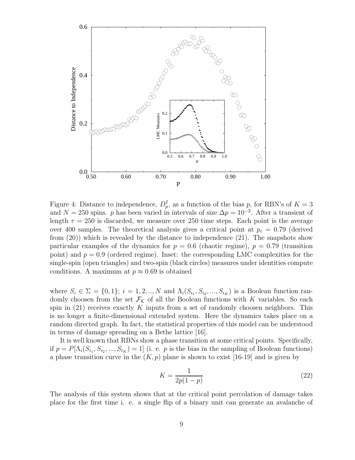

Figure 4: Distance to independence,  $D_p^I$ , as a function of the bias p, for RBN's of  $K = 3$ and  $N = 250$  spins. p has been varied in intervals of size  $\Delta p = 10^{-2}$ . After a transient of length  $\tau = 250$  is discarded, we measure over 250 time steps. Each point is the average over 400 samples. The theoretical analysis gives a critical point at  $p_c = 0.79$  (derived from (20)) which is revealed by the distance to independence (21). The snapshots show particular examples of the dynamics for  $p = 0.6$  (chaotic regime),  $p = 0.79$  (transition point) and  $p = 0.9$  (ordered regime). Inset: the corresponding LMC complexities for the single-spin (open triangles) and two-spin (black circles) measures under identities compute conditions. A maximum at  $p \approx 0.69$  is obtained

where  $S_i \in \Sigma = \{0, 1\}; i = 1, 2, ..., N$  and  $\Lambda_i(S_{i_1}, S_{i_2}, ..., S_{i_K})$  is a Boolean function randomly choosen from the set  $\mathcal{F}_k$  of all the Boolean functions with K variables. So each spin in  $(21)$  receives exactly K inputs from a set of randomly choosen neighbors. This is no longer a finite-dimensional extended system. Here the dynamics takes place on a random directed graph. In fact, the statistical properties of this model can be understood in terms of damage spreading on a Bethe lattice [16].

It is well known that RBNs show a phase transition at some critical points. Specifically, if  $p = P[\Lambda_i(S_{i_1}, S_{i_2},..., S_{i_K}) = 1]$  (i. e. p is the bias in the sampling of Boolean functions) a phase transition curve in the  $(K, p)$  plane is shown to exist [16-19] and is given by

$$
K = \frac{1}{2p(1-p)}\tag{22}
$$

The analysis of this system shows that at the critical point percolation of damage takes place for the first time i. e. a single flip of a binary unit can generate an avalanche of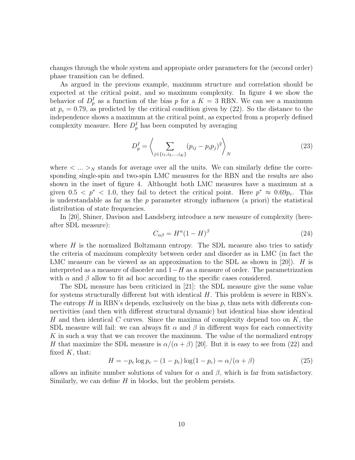changes through the whole system and appropiate order parameters for the (second order) phase transition can be defined.

As argued in the previous example, maximum structure and correlation should be expected at the critical point, and so maximum complexity. In figure 4 we show the behavior of  $D_p^I$  as a function of the bias p for a  $K = 3$  RBN. We can see a maximum at  $p_c = 0.79$ , as predicted by the critical condition given by (22). So the distance to the independence shows a maximum at the critical point, as expected from a properly defined complexity measure. Here  $D_p^I$  has been computed by averaging

$$
D_p^I = \left\langle \sum_{j \in \{i_1, i_2, \dots, i_K\}} (p_{ij} - p_i p_j)^2 \right\rangle_N \tag{23}
$$

where  $\langle \dots \rangle_N$  stands for average over all the units. We can similarly define the corresponding single-spin and two-spin LMC measures for the RBN and the results are also shown in the inset of figure 4. Althought both LMC measures have a maximum at a given  $0.5 < p^* < 1.0$ , they fail to detect the critical point. Here  $p^* \approx 0.69 p_c$ . This is understandable as far as the  $p$  parameter strongly influences (a priori) the statistical distribution of state frequencies.

In [20], Shiner, Davison and Landsberg introduce a new measure of complexity (hereafter SDL measure):

$$
C_{\alpha\beta} = H^{\alpha} (1 - H)^{\beta} \tag{24}
$$

where  $H$  is the normalized Boltzmann entropy. The SDL measure also tries to satisfy the criteria of maximum complexity between order and disorder as in LMC (in fact the LMC measure can be viewed as an approximation to the SDL as shown in [20]). H is interpreted as a measure of disorder and  $1-H$  as a measure of order. The parametrization with  $\alpha$  and  $\beta$  allow to fit ad hoc according to the specific cases considered.

The SDL measure has been criticized in [21]: the SDL measure give the same value for systems structurally different but with identical  $H$ . This problem is severe in RBN's. The entropy  $H$  in RBN's depends, exclusively on the bias  $p$ , thus nets with differents connectivities (and then with different structural dynamic) but identical bias show identical H and then identical C curves. Since the maxima of complexity depend too on  $K$ , the SDL measure will fail: we can always fit  $\alpha$  and  $\beta$  in different ways for each connectivity K in such a way that we can recover the maximum. The value of the normalized entropy H that maximize the SDL measure is  $\alpha/(\alpha+\beta)$  [20]. But it is easy to see from (22) and fixed  $K$ , that:

$$
H = -p_c \log p_c - (1 - p_c) \log(1 - p_c) = \alpha/(\alpha + \beta)
$$
 (25)

allows an infinite number solutions of values for  $\alpha$  and  $\beta$ , which is far from satisfactory. Similarly, we can define  $H$  in blocks, but the problem persists.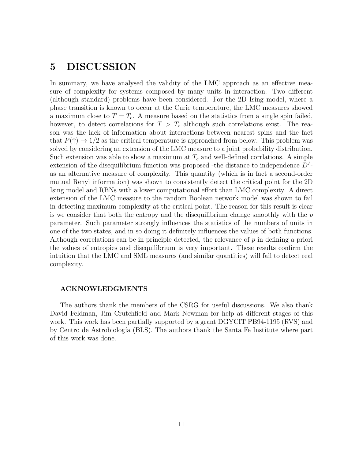# 5 DISCUSSION

In summary, we have analysed the validity of the LMC approach as an effective measure of complexity for systems composed by many units in interaction. Two different (although standard) problems have been considered. For the 2D Ising model, where a phase transition is known to occur at the Curie temperature, the LMC measures showed a maximum close to  $T = T_c$ . A measure based on the statistics from a single spin failed, however, to detect correlations for  $T > T_c$  although such correlations exist. The reason was the lack of information about interactions between nearest spins and the fact that  $P(\uparrow) \rightarrow 1/2$  as the critical temperature is approached from below. This problem was solved by considering an extension of the LMC measure to a joint probability distribution. Such extension was able to show a maximum at  $T_c$  and well-defined corrlations. A simple extension of the disequilibrium function was proposed -the distance to independence  $D<sup>I</sup>$ as an alternative measure of complexity. This quantity (which is in fact a second-order mutual Renyi information) was shown to consistently detect the critical point for the 2D Ising model and RBNs with a lower computational effort than LMC complexity. A direct extension of the LMC measure to the random Boolean network model was shown to fail in detecting maximum complexity at the critical point. The reason for this result is clear is we consider that both the entropy and the disequilibrium change smoothly with the  $p$ parameter. Such parameter strongly influences the statistics of the numbers of units in one of the two states, and in so doing it definitely influences the values of both functions. Although correlations can be in principle detected, the relevance of  $p$  in defining a priori the values of entropies and disequilibrium is very important. These results confirm the intuition that the LMC and SML measures (and similar quantities) will fail to detect real complexity.

#### ACKNOWLEDGMENTS

The authors thank the members of the CSRG for useful discussions. We also thank David Feldman, Jim Crutchfield and Mark Newman for help at different stages of this work. This work has been partially supported by a grant DGYCIT PB94-1195 (RVS) and by Centro de Astrobiología (BLS). The authors thank the Santa Fe Institute where part of this work was done.